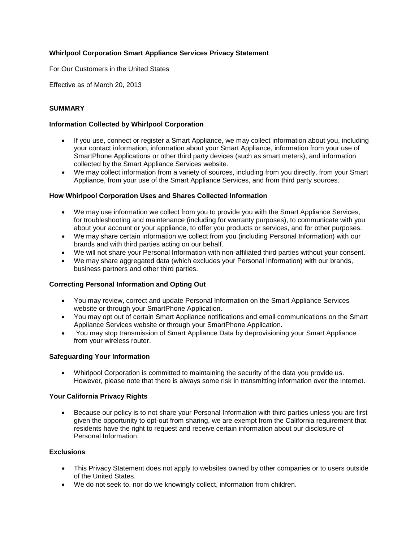# **Whirlpool Corporation Smart Appliance Services Privacy Statement**

For Our Customers in the United States

Effective as of March 20, 2013

#### **SUMMARY**

#### **Information Collected by Whirlpool Corporation**

- If you use, connect or register a Smart Appliance, we may collect information about you, including your contact information, information about your Smart Appliance, information from your use of SmartPhone Applications or other third party devices (such as smart meters), and information collected by the Smart Appliance Services website.
- We may collect information from a variety of sources, including from you directly, from your Smart Appliance, from your use of the Smart Appliance Services, and from third party sources.

#### **How Whirlpool Corporation Uses and Shares Collected Information**

- We may use information we collect from you to provide you with the Smart Appliance Services, for troubleshooting and maintenance (including for warranty purposes), to communicate with you about your account or your appliance, to offer you products or services, and for other purposes.
- We may share certain information we collect from you (including Personal Information) with our brands and with third parties acting on our behalf.
- We will not share your Personal Information with non-affiliated third parties without your consent.
- We may share aggregated data (which excludes your Personal Information) with our brands, business partners and other third parties.

#### **Correcting Personal Information and Opting Out**

- You may review, correct and update Personal Information on the Smart Appliance Services website or through your SmartPhone Application.
- You may opt out of certain Smart Appliance notifications and email communications on the Smart Appliance Services website or through your SmartPhone Application.
- You may stop transmission of Smart Appliance Data by deprovisioning your Smart Appliance from your wireless router.

#### **Safeguarding Your Information**

 Whirlpool Corporation is committed to maintaining the security of the data you provide us. However, please note that there is always some risk in transmitting information over the Internet.

#### **Your California Privacy Rights**

 Because our policy is to not share your Personal Information with third parties unless you are first given the opportunity to opt-out from sharing, we are exempt from the California requirement that residents have the right to request and receive certain information about our disclosure of Personal Information.

# **Exclusions**

- This Privacy Statement does not apply to websites owned by other companies or to users outside of the United States.
- We do not seek to, nor do we knowingly collect, information from children.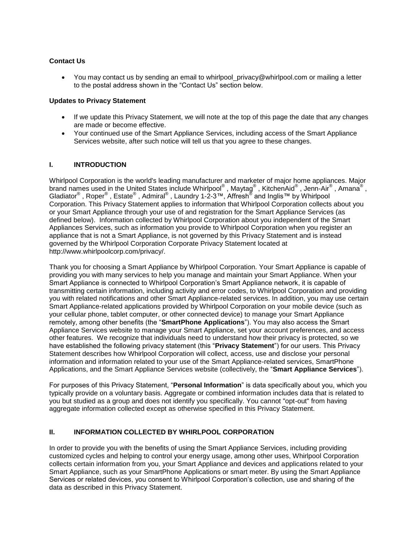#### **Contact Us**

 $\bullet$  You may contact us by sending an email to whirlpool privacy@whirlpool.com or mailing a letter to the postal address shown in the "Contact Us" section below.

#### **Updates to Privacy Statement**

- If we update this Privacy Statement, we will note at the top of this page the date that any changes are made or become effective.
- Your continued use of the Smart Appliance Services, including access of the Smart Appliance Services website, after such notice will tell us that you agree to these changes.

### **I. INTRODUCTION**

Whirlpool Corporation is the world's leading manufacturer and marketer of major home appliances. Major brand names used in the United States include Whirlpool® , Maytag® , KitchenAid® , Jenn-Air® , Amana® , Gladiator<sup>®</sup> , Roper<sup>®</sup> , Estate<sup>®</sup> , Admiral<sup>®</sup> , Laundry 1-2-3™, Affresh<sup>®</sup> and Inglis™ by Whirlpool Corporation. This Privacy Statement applies to information that Whirlpool Corporation collects about you or your Smart Appliance through your use of and registration for the Smart Appliance Services (as defined below). Information collected by Whirlpool Corporation about you independent of the Smart Appliances Services, such as information you provide to Whirlpool Corporation when you register an appliance that is not a Smart Appliance, is not governed by this Privacy Statement and is instead governed by the Whirlpool Corporation Corporate Privacy Statement located at http://www.whirlpoolcorp.com/privacy/.

Thank you for choosing a Smart Appliance by Whirlpool Corporation. Your Smart Appliance is capable of providing you with many services to help you manage and maintain your Smart Appliance. When your Smart Appliance is connected to Whirlpool Corporation's Smart Appliance network, it is capable of transmitting certain information, including activity and error codes, to Whirlpool Corporation and providing you with related notifications and other Smart Appliance-related services. In addition, you may use certain Smart Appliance-related applications provided by Whirlpool Corporation on your mobile device (such as your cellular phone, tablet computer, or other connected device) to manage your Smart Appliance remotely, among other benefits (the "**SmartPhone Applications**"). You may also access the Smart Appliance Services website to manage your Smart Appliance, set your account preferences, and access other features. We recognize that individuals need to understand how their privacy is protected, so we have established the following privacy statement (this "**Privacy Statement**") for our users. This Privacy Statement describes how Whirlpool Corporation will collect, access, use and disclose your personal information and information related to your use of the Smart Appliance-related services, SmartPhone Applications, and the Smart Appliance Services website (collectively, the "**Smart Appliance Services**").

For purposes of this Privacy Statement, "**Personal Information**" is data specifically about you, which you typically provide on a voluntary basis. Aggregate or combined information includes data that is related to you but studied as a group and does not identify you specifically. You cannot "opt-out" from having aggregate information collected except as otherwise specified in this Privacy Statement.

### **II. INFORMATION COLLECTED BY WHIRLPOOL CORPORATION**

In order to provide you with the benefits of using the Smart Appliance Services, including providing customized cycles and helping to control your energy usage, among other uses, Whirlpool Corporation collects certain information from you, your Smart Appliance and devices and applications related to your Smart Appliance, such as your SmartPhone Applications or smart meter. By using the Smart Appliance Services or related devices, you consent to Whirlpool Corporation's collection, use and sharing of the data as described in this Privacy Statement.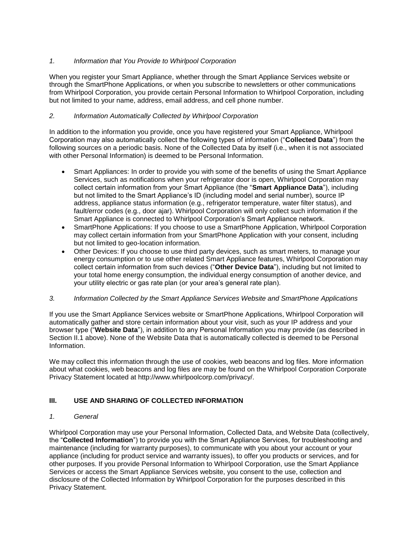## *1. Information that You Provide to Whirlpool Corporation*

When you register your Smart Appliance, whether through the Smart Appliance Services website or through the SmartPhone Applications, or when you subscribe to newsletters or other communications from Whirlpool Corporation, you provide certain Personal Information to Whirlpool Corporation, including but not limited to your name, address, email address, and cell phone number.

## *2. Information Automatically Collected by Whirlpool Corporation*

In addition to the information you provide, once you have registered your Smart Appliance, Whirlpool Corporation may also automatically collect the following types of information ("**Collected Data**") from the following sources on a periodic basis. None of the Collected Data by itself (i.e., when it is not associated with other Personal Information) is deemed to be Personal Information.

- Smart Appliances: In order to provide you with some of the benefits of using the Smart Appliance Services, such as notifications when your refrigerator door is open, Whirlpool Corporation may collect certain information from your Smart Appliance (the "**Smart Appliance Data**"), including but not limited to the Smart Appliance's ID (including model and serial number), source IP address, appliance status information (e.g., refrigerator temperature, water filter status), and fault/error codes (e.g., door ajar). Whirlpool Corporation will only collect such information if the Smart Appliance is connected to Whirlpool Corporation's Smart Appliance network.
- SmartPhone Applications: If you choose to use a SmartPhone Application, Whirlpool Corporation may collect certain information from your SmartPhone Application with your consent, including but not limited to geo-location information.
- Other Devices: If you choose to use third party devices, such as smart meters, to manage your energy consumption or to use other related Smart Appliance features, Whirlpool Corporation may collect certain information from such devices ("**Other Device Data**"), including but not limited to your total home energy consumption, the individual energy consumption of another device, and your utility electric or gas rate plan (or your area's general rate plan).

### *3. Information Collected by the Smart Appliance Services Website and SmartPhone Applications*

If you use the Smart Appliance Services website or SmartPhone Applications, Whirlpool Corporation will automatically gather and store certain information about your visit, such as your IP address and your browser type ("**Website Data**"), in addition to any Personal Information you may provide (as described in Section II.1 above). None of the Website Data that is automatically collected is deemed to be Personal Information.

We may collect this information through the use of cookies, web beacons and log files. More information about what cookies, web beacons and log files are may be found on the Whirlpool Corporation Corporate Privacy Statement located at http://www.whirlpoolcorp.com/privacy/.

# **III. USE AND SHARING OF COLLECTED INFORMATION**

### *1. General*

Whirlpool Corporation may use your Personal Information, Collected Data, and Website Data (collectively, the "**Collected Information**") to provide you with the Smart Appliance Services, for troubleshooting and maintenance (including for warranty purposes), to communicate with you about your account or your appliance (including for product service and warranty issues), to offer you products or services, and for other purposes. If you provide Personal Information to Whirlpool Corporation, use the Smart Appliance Services or access the Smart Appliance Services website, you consent to the use, collection and disclosure of the Collected Information by Whirlpool Corporation for the purposes described in this Privacy Statement.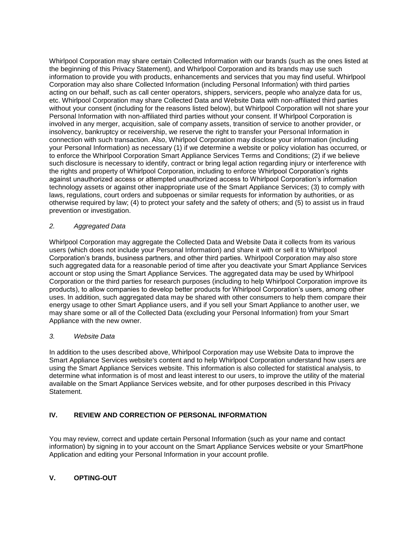Whirlpool Corporation may share certain Collected Information with our brands (such as the ones listed at the beginning of this Privacy Statement), and Whirlpool Corporation and its brands may use such information to provide you with products, enhancements and services that you may find useful. Whirlpool Corporation may also share Collected Information (including Personal Information) with third parties acting on our behalf, such as call center operators, shippers, servicers, people who analyze data for us, etc. Whirlpool Corporation may share Collected Data and Website Data with non-affiliated third parties without your consent (including for the reasons listed below), but Whirlpool Corporation will not share your Personal Information with non-affiliated third parties without your consent. If Whirlpool Corporation is involved in any merger, acquisition, sale of company assets, transition of service to another provider, or insolvency, bankruptcy or receivership, we reserve the right to transfer your Personal Information in connection with such transaction. Also, Whirlpool Corporation may disclose your information (including your Personal Information) as necessary (1) if we determine a website or policy violation has occurred, or to enforce the Whirlpool Corporation Smart Appliance Services Terms and Conditions; (2) if we believe such disclosure is necessary to identify, contract or bring legal action regarding injury or interference with the rights and property of Whirlpool Corporation, including to enforce Whirlpool Corporation's rights against unauthorized access or attempted unauthorized access to Whirlpool Corporation's information technology assets or against other inappropriate use of the Smart Appliance Services; (3) to comply with laws, regulations, court orders and subpoenas or similar requests for information by authorities, or as otherwise required by law; (4) to protect your safety and the safety of others; and (5) to assist us in fraud prevention or investigation.

### *2. Aggregated Data*

Whirlpool Corporation may aggregate the Collected Data and Website Data it collects from its various users (which does not include your Personal Information) and share it with or sell it to Whirlpool Corporation's brands, business partners, and other third parties. Whirlpool Corporation may also store such aggregated data for a reasonable period of time after you deactivate your Smart Appliance Services account or stop using the Smart Appliance Services. The aggregated data may be used by Whirlpool Corporation or the third parties for research purposes (including to help Whirlpool Corporation improve its products), to allow companies to develop better products for Whirlpool Corporation's users, among other uses. In addition, such aggregated data may be shared with other consumers to help them compare their energy usage to other Smart Appliance users, and if you sell your Smart Appliance to another user, we may share some or all of the Collected Data (excluding your Personal Information) from your Smart Appliance with the new owner.

### *3. Website Data*

In addition to the uses described above, Whirlpool Corporation may use Website Data to improve the Smart Appliance Services website's content and to help Whirlpool Corporation understand how users are using the Smart Appliance Services website. This information is also collected for statistical analysis, to determine what information is of most and least interest to our users, to improve the utility of the material available on the Smart Appliance Services website, and for other purposes described in this Privacy Statement.

# **IV. REVIEW AND CORRECTION OF PERSONAL INFORMATION**

You may review, correct and update certain Personal Information (such as your name and contact information) by signing in to your account on the Smart Appliance Services website or your SmartPhone Application and editing your Personal Information in your account profile.

# **V. OPTING-OUT**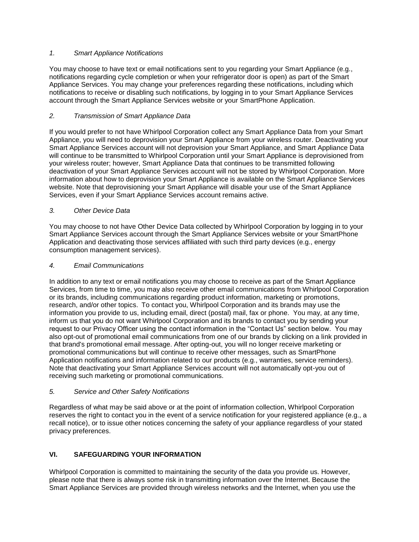## *1. Smart Appliance Notifications*

You may choose to have text or email notifications sent to you regarding your Smart Appliance (e.g., notifications regarding cycle completion or when your refrigerator door is open) as part of the Smart Appliance Services. You may change your preferences regarding these notifications, including which notifications to receive or disabling such notifications, by logging in to your Smart Appliance Services account through the Smart Appliance Services website or your SmartPhone Application.

## *2. Transmission of Smart Appliance Data*

If you would prefer to not have Whirlpool Corporation collect any Smart Appliance Data from your Smart Appliance, you will need to deprovision your Smart Appliance from your wireless router. Deactivating your Smart Appliance Services account will not deprovision your Smart Appliance, and Smart Appliance Data will continue to be transmitted to Whirlpool Corporation until your Smart Appliance is deprovisioned from your wireless router; however, Smart Appliance Data that continues to be transmitted following deactivation of your Smart Appliance Services account will not be stored by Whirlpool Corporation. More information about how to deprovision your Smart Appliance is available on the Smart Appliance Services website. Note that deprovisioning your Smart Appliance will disable your use of the Smart Appliance Services, even if your Smart Appliance Services account remains active.

# *3. Other Device Data*

You may choose to not have Other Device Data collected by Whirlpool Corporation by logging in to your Smart Appliance Services account through the Smart Appliance Services website or your SmartPhone Application and deactivating those services affiliated with such third party devices (e.g., energy consumption management services).

### *4. Email Communications*

In addition to any text or email notifications you may choose to receive as part of the Smart Appliance Services, from time to time, you may also receive other email communications from Whirlpool Corporation or its brands, including communications regarding product information, marketing or promotions, research, and/or other topics. To contact you, Whirlpool Corporation and its brands may use the information you provide to us, including email, direct (postal) mail, fax or phone. You may, at any time, inform us that you do not want Whirlpool Corporation and its brands to contact you by sending your request to our Privacy Officer using the contact information in the "Contact Us" section below. You may also opt-out of promotional email communications from one of our brands by clicking on a link provided in that brand's promotional email message. After opting-out, you will no longer receive marketing or promotional communications but will continue to receive other messages, such as SmartPhone Application notifications and information related to our products (e.g., warranties, service reminders). Note that deactivating your Smart Appliance Services account will not automatically opt-you out of receiving such marketing or promotional communications.

### *5. Service and Other Safety Notifications*

Regardless of what may be said above or at the point of information collection, Whirlpool Corporation reserves the right to contact you in the event of a service notification for your registered appliance (e.g., a recall notice), or to issue other notices concerning the safety of your appliance regardless of your stated privacy preferences.

# **VI. SAFEGUARDING YOUR INFORMATION**

Whirlpool Corporation is committed to maintaining the security of the data you provide us. However, please note that there is always some risk in transmitting information over the Internet. Because the Smart Appliance Services are provided through wireless networks and the Internet, when you use the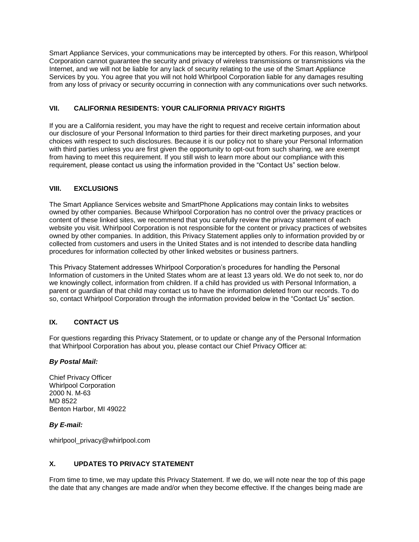Smart Appliance Services, your communications may be intercepted by others. For this reason, Whirlpool Corporation cannot guarantee the security and privacy of wireless transmissions or transmissions via the Internet, and we will not be liable for any lack of security relating to the use of the Smart Appliance Services by you. You agree that you will not hold Whirlpool Corporation liable for any damages resulting from any loss of privacy or security occurring in connection with any communications over such networks.

## **VII. CALIFORNIA RESIDENTS: YOUR CALIFORNIA PRIVACY RIGHTS**

If you are a California resident, you may have the right to request and receive certain information about our disclosure of your Personal Information to third parties for their direct marketing purposes, and your choices with respect to such disclosures. Because it is our policy not to share your Personal Information with third parties unless you are first given the opportunity to opt-out from such sharing, we are exempt from having to meet this requirement. If you still wish to learn more about our compliance with this requirement, please contact us using the information provided in the "Contact Us" section below.

# **VIII. EXCLUSIONS**

The Smart Appliance Services website and SmartPhone Applications may contain links to websites owned by other companies. Because Whirlpool Corporation has no control over the privacy practices or content of these linked sites, we recommend that you carefully review the privacy statement of each website you visit. Whirlpool Corporation is not responsible for the content or privacy practices of websites owned by other companies. In addition, this Privacy Statement applies only to information provided by or collected from customers and users in the United States and is not intended to describe data handling procedures for information collected by other linked websites or business partners.

This Privacy Statement addresses Whirlpool Corporation's procedures for handling the Personal Information of customers in the United States whom are at least 13 years old. We do not seek to, nor do we knowingly collect, information from children. If a child has provided us with Personal Information, a parent or guardian of that child may contact us to have the information deleted from our records. To do so, contact Whirlpool Corporation through the information provided below in the "Contact Us" section.

# **IX. CONTACT US**

For questions regarding this Privacy Statement, or to update or change any of the Personal Information that Whirlpool Corporation has about you, please contact our Chief Privacy Officer at:

### *By Postal Mail:*

Chief Privacy Officer Whirlpool Corporation 2000 N. M-63 MD 8522 Benton Harbor, MI 49022

### *By E-mail:*

whirlpool\_privacy@whirlpool.com

## **X. UPDATES TO PRIVACY STATEMENT**

From time to time, we may update this Privacy Statement. If we do, we will note near the top of this page the date that any changes are made and/or when they become effective. If the changes being made are